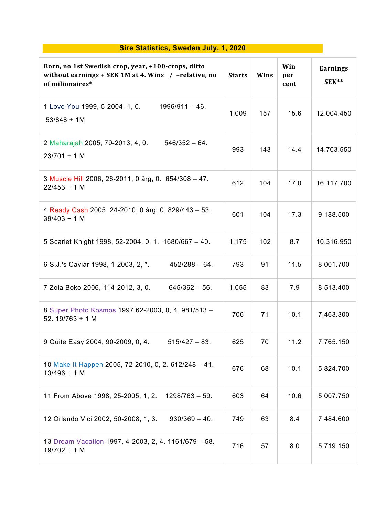## **Sire Statistics, Sweden July, 1, 2020**

| Born, no 1st Swedish crop, year, +100-crops, ditto<br>without earnings + SEK 1M at 4. Wins $/$ -relative, no<br>of milionaires* | <b>Starts</b> | Wins | Win<br>per<br>cent | Earnings<br>SEK** |
|---------------------------------------------------------------------------------------------------------------------------------|---------------|------|--------------------|-------------------|
| 1 Love You 1999, 5-2004, 1, 0.<br>$1996/911 - 46.$<br>$53/848 + 1M$                                                             | 1,009         | 157  | 15.6               | 12.004.450        |
| $546/352 - 64.$<br>2 Maharajah 2005, 79-2013, 4, 0.<br>$23/701 + 1 M$                                                           | 993           | 143  | 14.4               | 14.703.550        |
| 3 Muscle Hill 2006, 26-2011, 0 årg, 0. 654/308 - 47.<br>$22/453 + 1 M$                                                          | 612           | 104  | 17.0               | 16.117.700        |
| 4 Ready Cash 2005, 24-2010, 0 årg, 0. 829/443 - 53.<br>$39/403 + 1 M$                                                           | 601           | 104  | 17.3               | 9.188.500         |
| 5 Scarlet Knight 1998, 52-2004, 0, 1. 1680/667 - 40.                                                                            | 1,175         | 102  | 8.7                | 10.316.950        |
| 6 S.J.'s Caviar 1998, 1-2003, 2, *.<br>$452/288 - 64.$                                                                          | 793           | 91   | 11.5               | 8.001.700         |
| 7 Zola Boko 2006, 114-2012, 3, 0.<br>$645/362 - 56$ .                                                                           | 1,055         | 83   | 7.9                | 8.513.400         |
| 8 Super Photo Kosmos 1997, 62-2003, 0, 4. 981/513 -<br>52.19/763 + 1 M                                                          | 706           | 71   | 10.1               | 7.463.300         |
| 9 Quite Easy 2004, 90-2009, 0, 4.<br>$515/427 - 83$ .                                                                           | 625           | 70   | 11.2               | 7.765.150         |
| 10 Make It Happen 2005, 72-2010, 0, 2, 612/248 - 41.<br>$13/496 + 1 M$                                                          | 676           | 68   | 10.1               | 5.824.700         |
| 11 From Above 1998, 25-2005, 1, 2. 1298/763 - 59.                                                                               | 603           | 64   | 10.6               | 5.007.750         |
| 12 Orlando Vici 2002, 50-2008, 1, 3.<br>$930/369 - 40.$                                                                         | 749           | 63   | 8.4                | 7.484.600         |
| 13 Dream Vacation 1997, 4-2003, 2, 4. 1161/679 - 58.<br>$19/702 + 1 M$                                                          | 716           | 57   | 8.0                | 5.719.150         |